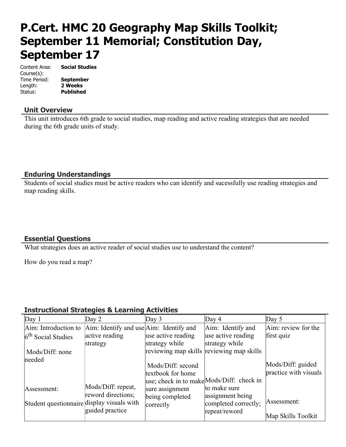# **P.Cert. HMC 20 Geography Map Skills Toolkit; September 11 Memorial; Constitution Day, September 17**

| Content Area: | <b>Social Studies</b> |
|---------------|-----------------------|
| Course(s):    |                       |
| Time Period:  | <b>September</b>      |
| Length:       | 2 Weeks               |
| Status:       | <b>Published</b>      |
|               |                       |

#### **Unit Overview**

This unit introduces 6th grade to social studies, map reading and active reading strategies that are needed during the 6th grade units of study.

## **Enduring Understandings**

Students of social studies must be active readers who can identify and sucessfully use reading strategies and map reading skills.

## **Essential Questions**

What strategies does an active reader of social studies use to understand the content?

How do you read a map?

## **Instructional Strategies & Learning Activities**

| Day $1$                                    | Day $2$                                                 | Day $3$                                   | Day $4$                                   | Day $5$               |
|--------------------------------------------|---------------------------------------------------------|-------------------------------------------|-------------------------------------------|-----------------------|
| Aim: Introduction to                       | $\text{Aim: Identify and use} \text{Aim: Identify and}$ |                                           | Aim: Identify and                         | Aim: review for the   |
| $6th$ Social Studies                       | active reading                                          | use active reading                        | use active reading                        | first quiz            |
|                                            | strategy                                                | strategy while                            | strategy while                            |                       |
| Mods/Diff: none                            |                                                         | reviewing map skills reviewing map skills |                                           |                       |
| needed                                     |                                                         |                                           |                                           |                       |
|                                            |                                                         | Mods/Diff: second                         |                                           | Mods/Diff: guided     |
|                                            |                                                         | textbook for home                         |                                           | practice with visuals |
|                                            |                                                         |                                           | use; check in to make Mods/Diff: check in |                       |
| Assessment:                                | Mods/Diff: repeat,                                      | sure assignment                           | to make sure                              |                       |
|                                            | reword directions;                                      | being completed                           | assignment being                          |                       |
| Student questionnaire display visuals with |                                                         | correctly                                 | completed correctly;                      | Assessment:           |
|                                            | guided practice                                         |                                           | repeat/reword                             |                       |
|                                            |                                                         |                                           |                                           | Map Skills Toolkit    |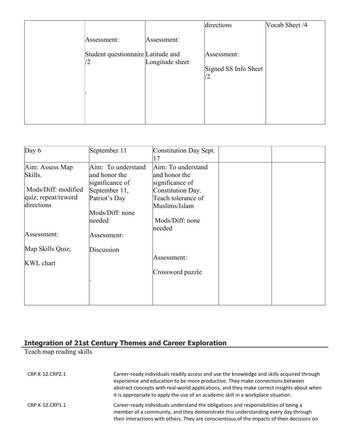|            |                                    |                 | directions                          | Vocab Sheet /4 |
|------------|------------------------------------|-----------------|-------------------------------------|----------------|
|            | Assessment:                        | Assessment:     |                                     |                |
| $\sqrt{2}$ | Student questionnaire Latitude and | Longitude sheet | Assessment:<br>Signed SS Info Sheet |                |
|            |                                    |                 |                                     |                |

| Day $6$             | September 11       | Constitution Day Sept.<br>$\binom{7}{ }$ |  |
|---------------------|--------------------|------------------------------------------|--|
| Aim: Assess Map     | Aim: To understand | Aim: To understand                       |  |
| Skills.             | and honor the      | and honor the                            |  |
|                     | significance of    | significance of                          |  |
| Mods/Diff: modified | September 11,      | Constitution Day.                        |  |
| quiz; repeat/reword | Patriot's Day      | Teach tolerance of                       |  |
| directions          |                    | Muslims/Islam                            |  |
|                     | Mods/Diff: none    |                                          |  |
|                     | needed             | Mods/Diff: none                          |  |
|                     |                    | needed                                   |  |
| Assessment:         | Assessment:        |                                          |  |
| Map Skills Quiz;    | Discussion         |                                          |  |
|                     |                    | Assessment:                              |  |
| <b>KWL</b> chart    |                    |                                          |  |
|                     |                    | Crossword puzzle                         |  |
|                     |                    |                                          |  |
|                     |                    |                                          |  |
|                     |                    |                                          |  |
|                     |                    |                                          |  |

## **Integration of 21st Century Themes and Career Exploration**

Teach map reading skills

| CRP.K-12.CRP2.1 | Career-ready individuals readily access and use the knowledge and skills acquired through<br>experience and education to be more productive. They make connections between<br>abstract concepts with real-world applications, and they make correct insights about when<br>it is appropriate to apply the use of an academic skill in a workplace situation. |
|-----------------|--------------------------------------------------------------------------------------------------------------------------------------------------------------------------------------------------------------------------------------------------------------------------------------------------------------------------------------------------------------|
| CRP.K-12.CRP1.1 | Career-ready individuals understand the obligations and responsibilities of being a<br>member of a community, and they demonstrate this understanding every day through<br>their interactions with others. They are conscientious of the impacts of their decisions on                                                                                       |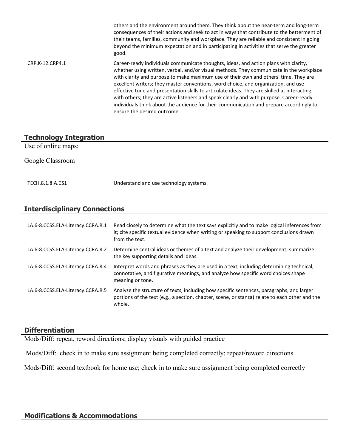|                 | others and the environment around them. They think about the near-term and long-term<br>consequences of their actions and seek to act in ways that contribute to the betterment of<br>their teams, families, community and workplace. They are reliable and consistent in going<br>beyond the minimum expectation and in participating in activities that serve the greater<br>good.                                                                                                                                                                                                                                                                                              |
|-----------------|-----------------------------------------------------------------------------------------------------------------------------------------------------------------------------------------------------------------------------------------------------------------------------------------------------------------------------------------------------------------------------------------------------------------------------------------------------------------------------------------------------------------------------------------------------------------------------------------------------------------------------------------------------------------------------------|
| CRP.K-12.CRP4.1 | Career-ready individuals communicate thoughts, ideas, and action plans with clarity,<br>whether using written, verbal, and/or visual methods. They communicate in the workplace<br>with clarity and purpose to make maximum use of their own and others' time. They are<br>excellent writers; they master conventions, word choice, and organization, and use<br>effective tone and presentation skills to articulate ideas. They are skilled at interacting<br>with others; they are active listeners and speak clearly and with purpose. Career-ready<br>individuals think about the audience for their communication and prepare accordingly to<br>ensure the desired outcome. |

## **Technology Integration**

Use of online maps;

Google Classroom

TECH.8.1.8.A.CS1 Understand and use technology systems.

## **Interdisciplinary Connections**

| LA.6-8.CCSS.ELA-Literacy.CCRA.R.1 | Read closely to determine what the text says explicitly and to make logical inferences from<br>it; cite specific textual evidence when writing or speaking to support conclusions drawn<br>from the text. |
|-----------------------------------|-----------------------------------------------------------------------------------------------------------------------------------------------------------------------------------------------------------|
| LA.6-8.CCSS.ELA-Literacy.CCRA.R.2 | Determine central ideas or themes of a text and analyze their development; summarize<br>the key supporting details and ideas.                                                                             |
| LA.6-8.CCSS.ELA-Literacy.CCRA.R.4 | Interpret words and phrases as they are used in a text, including determining technical,<br>connotative, and figurative meanings, and analyze how specific word choices shape<br>meaning or tone.         |
| LA.6-8.CCSS.ELA-Literacy.CCRA.R.5 | Analyze the structure of texts, including how specific sentences, paragraphs, and larger<br>portions of the text (e.g., a section, chapter, scene, or stanza) relate to each other and the<br>whole.      |

#### **Differentiation**

Mods/Diff: repeat, reword directions; display visuals with guided practice

Mods/Diff: check in to make sure assignment being completed correctly; repeat/reword directions

Mods/Diff: second textbook for home use; check in to make sure assignment being completed correctly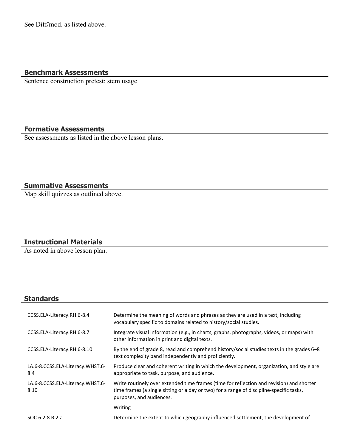See Diff/mod. as listed above.

## **Benchmark Assessments**

Sentence construction pretest; stem usage

## **Formative Assessments**

See assessments as listed in the above lesson plans.

## **Summative Assessments**

Map skill quizzes as outlined above.

#### **Instructional Materials**

As noted in above lesson plan.

## **Standards**

| CCSS.ELA-Literacy.RH.6-8.4               | Determine the meaning of words and phrases as they are used in a text, including<br>vocabulary specific to domains related to history/social studies.                                                            |
|------------------------------------------|------------------------------------------------------------------------------------------------------------------------------------------------------------------------------------------------------------------|
| CCSS.ELA-Literacy.RH.6-8.7               | Integrate visual information (e.g., in charts, graphs, photographs, videos, or maps) with<br>other information in print and digital texts.                                                                       |
| CCSS.ELA-Literacy.RH.6-8.10              | By the end of grade 8, read and comprehend history/social studies texts in the grades 6–8<br>text complexity band independently and proficiently.                                                                |
| LA.6-8.CCSS.ELA-Literacy.WHST.6-<br>8.4  | Produce clear and coherent writing in which the development, organization, and style are<br>appropriate to task, purpose, and audience.                                                                          |
| LA.6-8.CCSS.ELA-Literacy.WHST.6-<br>8.10 | Write routinely over extended time frames (time for reflection and revision) and shorter<br>time frames (a single sitting or a day or two) for a range of discipline-specific tasks,<br>purposes, and audiences. |
|                                          | Writing                                                                                                                                                                                                          |
| SOC.6.2.8.B.2.a                          | Determine the extent to which geography influenced settlement, the development of                                                                                                                                |